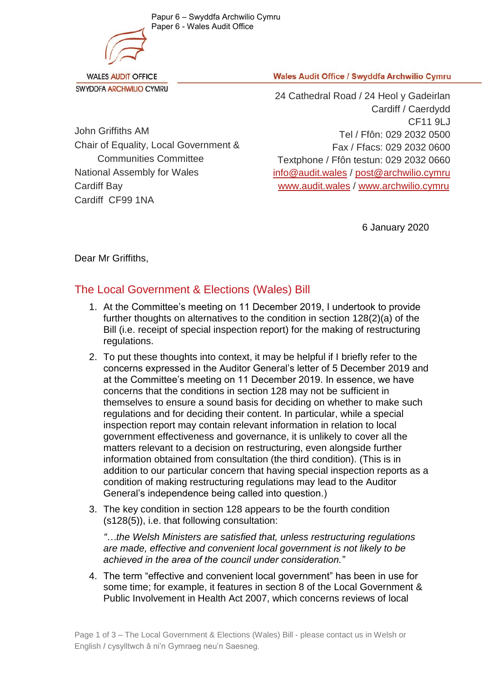Papur 6 – Swyddfa Archwilio Cymru Paper 6 - Wales Audit Office



**WALES AUDIT OFFICE** SWYDDFA ARCHWILIO CYMRU **Wales Audit Office / Swyddfa Archwilio Cymru** 

John Griffiths AM Chair of Equality, Local Government & Communities Committee National Assembly for Wales Cardiff Bay Cardiff CF99 1NA

24 Cathedral Road / 24 Heol y Gadeirlan Cardiff / Caerdydd CF11 9LJ Tel / Ffôn: 029 2032 0500 Fax / Ffacs: 029 2032 0600 Textphone / Ffôn testun: 029 2032 0660 [info@audit.wales](mailto:info@audit.wales) / post@archwilio.cymru [www.audit.wales](http://www.audit.wales/) / [www.archwilio.cymru](http://www.archwilio.cymru/)

6 January 2020

Dear Mr Griffiths,

## The Local Government & Elections (Wales) Bill

- 1. At the Committee's meeting on 11 December 2019, I undertook to provide further thoughts on alternatives to the condition in section 128(2)(a) of the Bill (i.e. receipt of special inspection report) for the making of restructuring regulations.
- 2. To put these thoughts into context, it may be helpful if I briefly refer to the concerns expressed in the Auditor General's letter of 5 December 2019 and at the Committee's meeting on 11 December 2019. In essence, we have concerns that the conditions in section 128 may not be sufficient in themselves to ensure a sound basis for deciding on whether to make such regulations and for deciding their content. In particular, while a special inspection report may contain relevant information in relation to local government effectiveness and governance, it is unlikely to cover all the matters relevant to a decision on restructuring, even alongside further information obtained from consultation (the third condition). (This is in addition to our particular concern that having special inspection reports as a condition of making restructuring regulations may lead to the Auditor General's independence being called into question.)
- 3. The key condition in section 128 appears to be the fourth condition (s128(5)), i.e. that following consultation:

*"…the Welsh Ministers are satisfied that, unless restructuring regulations are made, effective and convenient local government is not likely to be achieved in the area of the council under consideration."*

4. The term "effective and convenient local government" has been in use for some time; for example, it features in section 8 of the Local Government & Public Involvement in Health Act 2007, which concerns reviews of local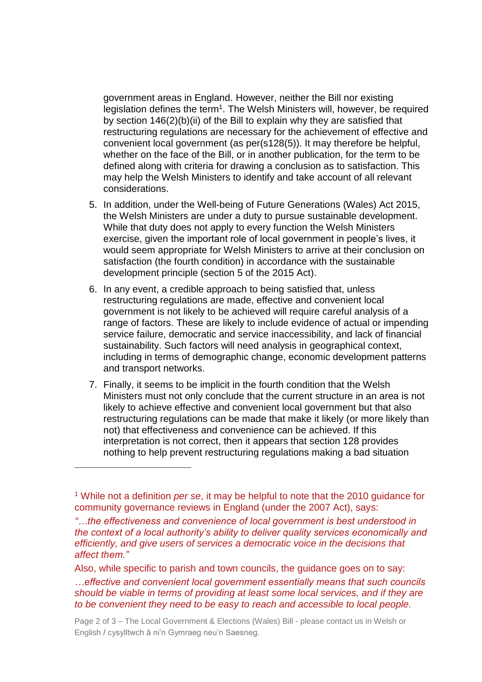government areas in England. However, neither the Bill nor existing legislation defines the term<sup>1</sup>. The Welsh Ministers will, however, be required by section 146(2)(b)(ii) of the Bill to explain why they are satisfied that restructuring regulations are necessary for the achievement of effective and convenient local government (as per(s128(5)). It may therefore be helpful, whether on the face of the Bill, or in another publication, for the term to be defined along with criteria for drawing a conclusion as to satisfaction. This may help the Welsh Ministers to identify and take account of all relevant considerations.

- 5. In addition, under the Well-being of Future Generations (Wales) Act 2015, the Welsh Ministers are under a duty to pursue sustainable development. While that duty does not apply to every function the Welsh Ministers exercise, given the important role of local government in people's lives, it would seem appropriate for Welsh Ministers to arrive at their conclusion on satisfaction (the fourth condition) in accordance with the sustainable development principle (section 5 of the 2015 Act).
- 6. In any event, a credible approach to being satisfied that, unless restructuring regulations are made, effective and convenient local government is not likely to be achieved will require careful analysis of a range of factors. These are likely to include evidence of actual or impending service failure, democratic and service inaccessibility, and lack of financial sustainability. Such factors will need analysis in geographical context, including in terms of demographic change, economic development patterns and transport networks.
- 7. Finally, it seems to be implicit in the fourth condition that the Welsh Ministers must not only conclude that the current structure in an area is not likely to achieve effective and convenient local government but that also restructuring regulations can be made that make it likely (or more likely than not) that effectiveness and convenience can be achieved. If this interpretation is not correct, then it appears that section 128 provides nothing to help prevent restructuring regulations making a bad situation

 $\overline{a}$ 

<sup>1</sup> While not a definition *per se*, it may be helpful to note that the 2010 guidance for community governance reviews in England (under the 2007 Act), says:

*<sup>&</sup>quot;…the effectiveness and convenience of local government is best understood in the context of a local authority's ability to deliver quality services economically and efficiently, and give users of services a democratic voice in the decisions that affect them."*

Also, while specific to parish and town councils, the guidance goes on to say:

*<sup>…</sup>effective and convenient local government essentially means that such councils should be viable in terms of providing at least some local services, and if they are to be convenient they need to be easy to reach and accessible to local people.*

Page 2 of 3 – The Local Government & Elections (Wales) Bill - please contact us in Welsh or English / cysylltwch â ni'n Gymraeg neu'n Saesneg.